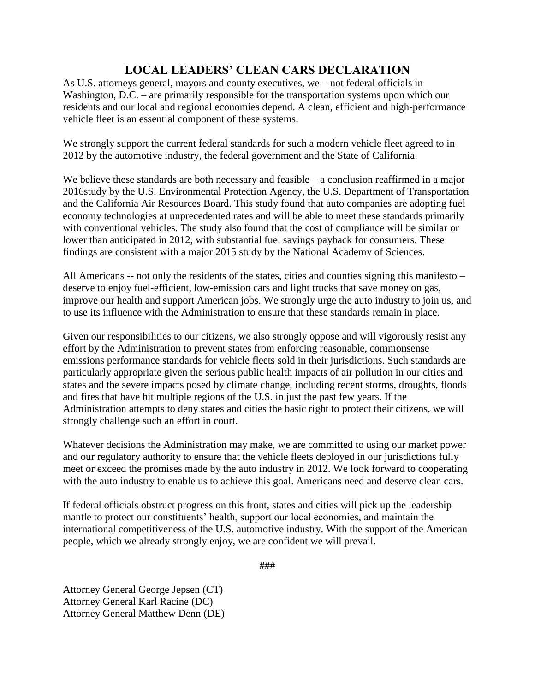## **LOCAL LEADERS' CLEAN CARS DECLARATION**

As U.S. attorneys general, mayors and county executives, we – not federal officials in Washington, D.C. – are primarily responsible for the transportation systems upon which our residents and our local and regional economies depend. A clean, efficient and high-performance vehicle fleet is an essential component of these systems.

We strongly support the current federal standards for such a modern vehicle fleet agreed to in 2012 by the automotive industry, the federal government and the State of California.

We believe these standards are both necessary and feasible – a conclusion reaffirmed in a major 2016study by the U.S. Environmental Protection Agency, the U.S. Department of Transportation and the California Air Resources Board. This study found that auto companies are adopting fuel economy technologies at unprecedented rates and will be able to meet these standards primarily with conventional vehicles. The study also found that the cost of compliance will be similar or lower than anticipated in 2012, with substantial fuel savings payback for consumers. These findings are consistent with a major 2015 study by the National Academy of Sciences.

All Americans -- not only the residents of the states, cities and counties signing this manifesto – deserve to enjoy fuel-efficient, low-emission cars and light trucks that save money on gas, improve our health and support American jobs. We strongly urge the auto industry to join us, and to use its influence with the Administration to ensure that these standards remain in place.

Given our responsibilities to our citizens, we also strongly oppose and will vigorously resist any effort by the Administration to prevent states from enforcing reasonable, commonsense emissions performance standards for vehicle fleets sold in their jurisdictions. Such standards are particularly appropriate given the serious public health impacts of air pollution in our cities and states and the severe impacts posed by climate change, including recent storms, droughts, floods and fires that have hit multiple regions of the U.S. in just the past few years. If the Administration attempts to deny states and cities the basic right to protect their citizens, we will strongly challenge such an effort in court.

Whatever decisions the Administration may make, we are committed to using our market power and our regulatory authority to ensure that the vehicle fleets deployed in our jurisdictions fully meet or exceed the promises made by the auto industry in 2012. We look forward to cooperating with the auto industry to enable us to achieve this goal. Americans need and deserve clean cars.

If federal officials obstruct progress on this front, states and cities will pick up the leadership mantle to protect our constituents' health, support our local economies, and maintain the international competitiveness of the U.S. automotive industry. With the support of the American people, which we already strongly enjoy, we are confident we will prevail.

###

Attorney General George Jepsen (CT) Attorney General Karl Racine (DC) Attorney General Matthew Denn (DE)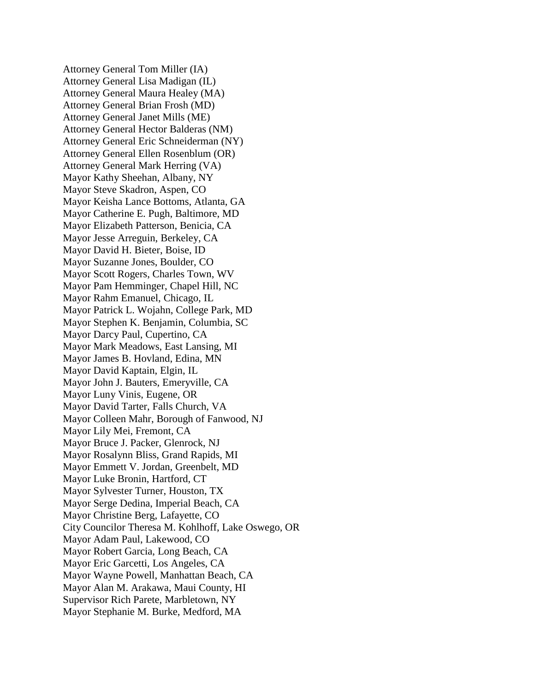Attorney General Tom Miller (IA) Attorney General Lisa Madigan (IL) Attorney General Maura Healey (MA) Attorney General Brian Frosh (MD) Attorney General Janet Mills (ME) Attorney General Hector Balderas (NM) Attorney General Eric Schneiderman (NY) Attorney General Ellen Rosenblum (OR) Attorney General Mark Herring (VA) Mayor Kathy Sheehan, Albany, NY Mayor Steve Skadron, Aspen, CO Mayor Keisha Lance Bottoms, Atlanta, GA Mayor Catherine E. Pugh, Baltimore, MD Mayor Elizabeth Patterson, Benicia, CA Mayor Jesse Arreguin, Berkeley, CA Mayor David H. Bieter, Boise, ID Mayor Suzanne Jones, Boulder, CO Mayor Scott Rogers, Charles Town, WV Mayor Pam Hemminger, Chapel Hill, NC Mayor Rahm Emanuel, Chicago, IL Mayor Patrick L. Wojahn, College Park, MD Mayor Stephen K. Benjamin, Columbia, SC Mayor Darcy Paul, Cupertino, CA Mayor Mark Meadows, East Lansing, MI Mayor James B. Hovland, Edina, MN Mayor David Kaptain, Elgin, IL Mayor John J. Bauters, Emeryville, CA Mayor Luny Vinis, Eugene, OR Mayor David Tarter, Falls Church, VA Mayor Colleen Mahr, Borough of Fanwood, NJ Mayor Lily Mei, Fremont, CA Mayor Bruce J. Packer, Glenrock, NJ Mayor Rosalynn Bliss, Grand Rapids, MI Mayor Emmett V. Jordan, Greenbelt, MD Mayor Luke Bronin, Hartford, CT Mayor Sylvester Turner, Houston, TX Mayor Serge Dedina, Imperial Beach, CA Mayor Christine Berg, Lafayette, CO City Councilor Theresa M. Kohlhoff, Lake Oswego, OR Mayor Adam Paul, Lakewood, CO Mayor Robert Garcia, Long Beach, CA Mayor Eric Garcetti, Los Angeles, CA Mayor Wayne Powell, Manhattan Beach, CA Mayor Alan M. Arakawa, Maui County, HI Supervisor Rich Parete, Marbletown, NY Mayor Stephanie M. Burke, Medford, MA